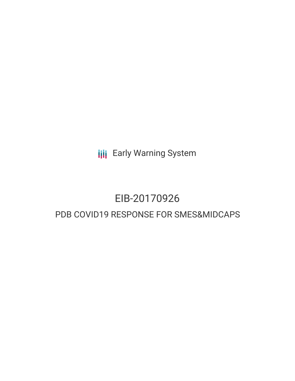**III** Early Warning System

# EIB-20170926

# PDB COVID19 RESPONSE FOR SMES&MIDCAPS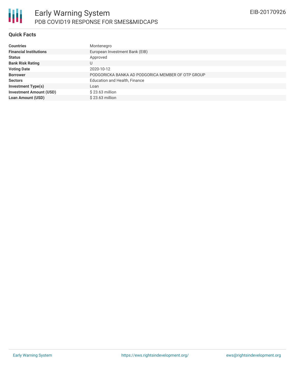

#### **Quick Facts**

| <b>Countries</b>               | Montenegro                                        |
|--------------------------------|---------------------------------------------------|
| <b>Financial Institutions</b>  | European Investment Bank (EIB)                    |
| <b>Status</b>                  | Approved                                          |
| <b>Bank Risk Rating</b>        | U                                                 |
| <b>Voting Date</b>             | 2020-10-12                                        |
| <b>Borrower</b>                | PODGORICKA BANKA AD PODGORICA MEMBER OF OTP GROUP |
| <b>Sectors</b>                 | Education and Health, Finance                     |
| <b>Investment Type(s)</b>      | Loan                                              |
| <b>Investment Amount (USD)</b> | $$23.63$ million                                  |
| <b>Loan Amount (USD)</b>       | $$23.63$ million                                  |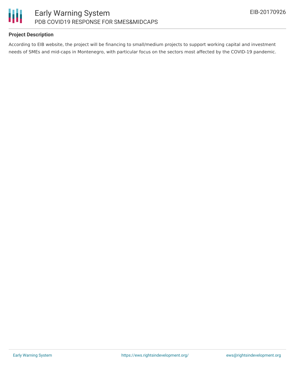

# **Project Description**

According to EIB website, the project will be financing to small/medium projects to support working capital and investment needs of SMEs and mid-caps in Montenegro, with particular focus on the sectors most affected by the COVID-19 pandemic.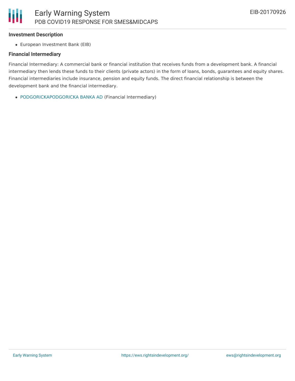#### **Investment Description**

European Investment Bank (EIB)

## **Financial Intermediary**

Financial Intermediary: A commercial bank or financial institution that receives funds from a development bank. A financial intermediary then lends these funds to their clients (private actors) in the form of loans, bonds, guarantees and equity shares. Financial intermediaries include insurance, pension and equity funds. The direct financial relationship is between the development bank and the financial intermediary.

[PODGORICKAPODGORICKA](file:///actor/3431/) BANKA AD (Financial Intermediary)